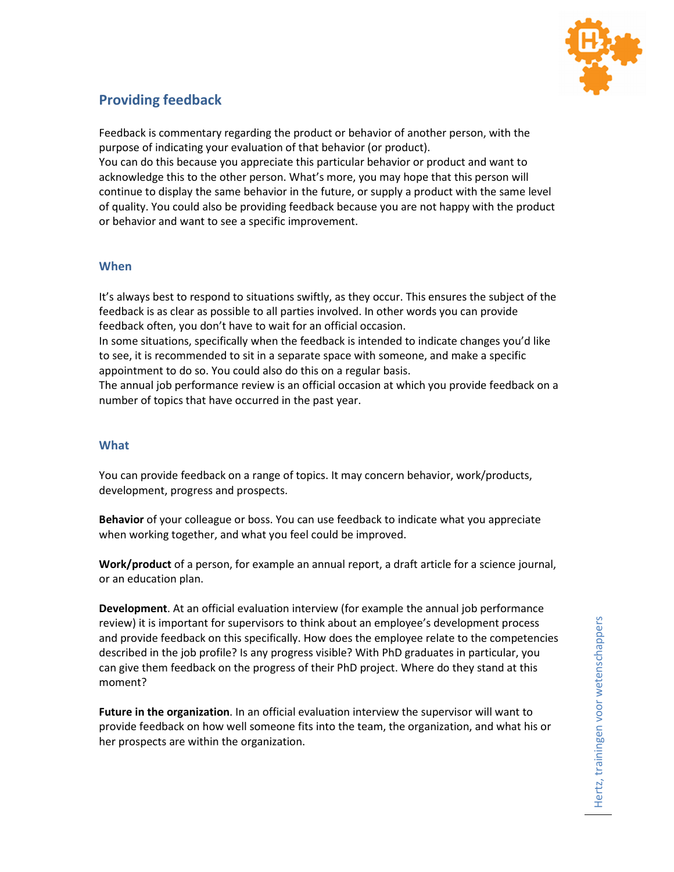

# **Providing feedback**

Feedback is commentary regarding the product or behavior of another person, with the purpose of indicating your evaluation of that behavior (or product).

You can do this because you appreciate this particular behavior or product and want to acknowledge this to the other person. What's more, you may hope that this person will continue to display the same behavior in the future, or supply a product with the same level of quality. You could also be providing feedback because you are not happy with the product or behavior and want to see a specific improvement.

# **When**

It's always best to respond to situations swiftly, as they occur. This ensures the subject of the feedback is as clear as possible to all parties involved. In other words you can provide feedback often, you don't have to wait for an official occasion.

In some situations, specifically when the feedback is intended to indicate changes you'd like to see, it is recommended to sit in a separate space with someone, and make a specific appointment to do so. You could also do this on a regular basis.

The annual job performance review is an official occasion at which you provide feedback on a number of topics that have occurred in the past year.

### **What**

You can provide feedback on a range of topics. It may concern behavior, work/products, development, progress and prospects.

**Behavior** of your colleague or boss. You can use feedback to indicate what you appreciate when working together, and what you feel could be improved.

**Work/product** of a person, for example an annual report, a draft article for a science journal, or an education plan.

**Development**. At an official evaluation interview (for example the annual job performance review) it is important for supervisors to think about an employee's development process and provide feedback on this specifically. How does the employee relate to the competencies described in the job profile? Is any progress visible? With PhD graduates in particular, you can give them feedback on the progress of their PhD project. Where do they stand at this moment?

**Future in the organization**. In an official evaluation interview the supervisor will want to provide feedback on how well someone fits into the team, the organization, and what his or her prospects are within the organization.